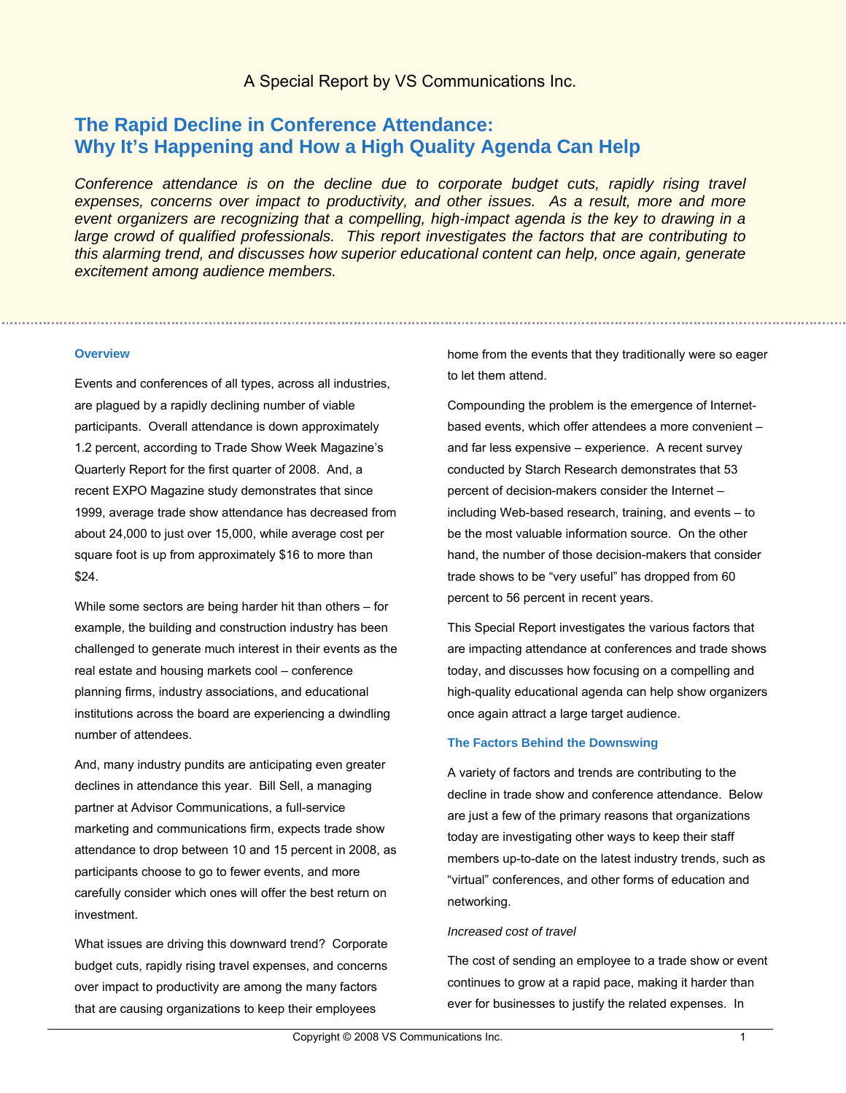# **The Rapid Decline in Conference Attendance: Why It's Happening and How a High Quality Agenda Can Help**

*Conference attendance is on the decline due to corporate budget cuts, rapidly rising travel* expenses, concerns over impact to productivity, and other *issues*. As a result, more and more *event organizers are recognizing that a compelling, high-impact agenda is the key to drawing in a large crowd of qualified professionals. This report investigates the factors that are contributing to this alarming trend, and discusses how superior educational content can help, once again, generate excitement among audience members.* 

### **Overview**

Events and conferences of all types, across all industries, are plagued by a rapidly declining number of viable participants. Overall attendance is down approximately 1.2 percent, according to Trade Show Week Magazine's Quarterly Report for the first quarter of 2008. And, a recent EXPO Magazine study demonstrates that since 1999, average trade show attendance has decreased from about 24,000 to just over 15,000, while average cost per square foot is up from approximately \$16 to more than \$24.

While some sectors are being harder hit than others – for example, the building and construction industry has been challenged to generate much interest in their events as the real estate and housing markets cool – conference planning firms, industry associations, and educational institutions across the board are experiencing a dwindling number of attendees.

And, many industry pundits are anticipating even greater declines in attendance this year. Bill Sell, a managing partner at Advisor Communications, a full-service marketing and communications firm, expects trade show attendance to drop between 10 and 15 percent in 2008, as participants choose to go to fewer events, and more carefully consider which ones will offer the best return on investment.

What issues are driving this downward trend? Corporate budget cuts, rapidly rising travel expenses, and concerns over impact to productivity are among the many factors that are causing organizations to keep their employees

home from the events that they traditionally were so eager to let them attend.

Compounding the problem is the emergence of Internetbased events, which offer attendees a more convenient – and far less expensive – experience. A recent survey conducted by Starch Research demonstrates that 53 percent of decision-makers consider the Internet – including Web-based research, training, and events – to be the most valuable information source. On the other hand, the number of those decision-makers that consider trade shows to be "very useful" has dropped from 60 percent to 56 percent in recent years.

This Special Report investigates the various factors that are impacting attendance at conferences and trade shows today, and discusses how focusing on a compelling and high-quality educational agenda can help show organizers once again attract a large target audience.

#### **The Factors Behind the Downswing**

A variety of factors and trends are contributing to the decline in trade show and conference attendance. Below are just a few of the primary reasons that organizations today are investigating other ways to keep their staff members up-to-date on the latest industry trends, such as "virtual" conferences, and other forms of education and networking.

#### *Increased cost of travel*

The cost of sending an employee to a trade show or event continues to grow at a rapid pace, making it harder than ever for businesses to justify the related expenses. In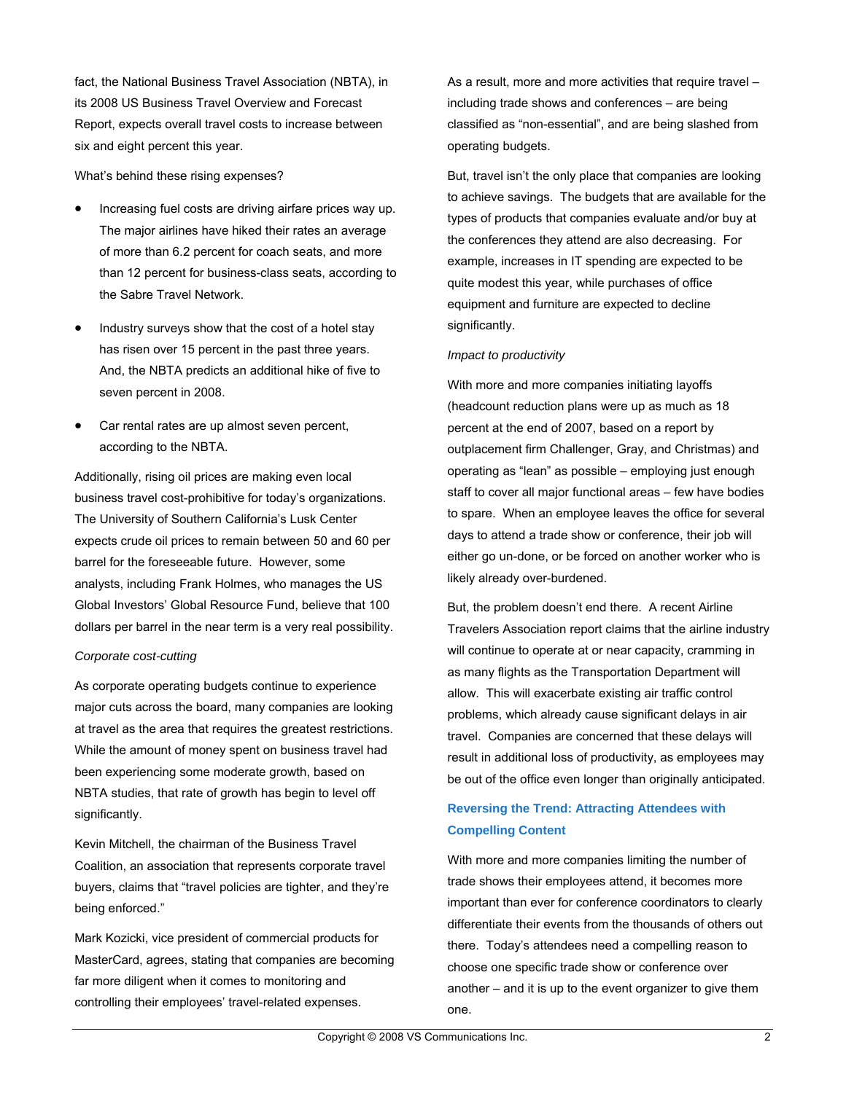fact, the National Business Travel Association (NBTA), in its 2008 US Business Travel Overview and Forecast Report, expects overall travel costs to increase between six and eight percent this year.

What's behind these rising expenses?

- Increasing fuel costs are driving airfare prices way up. The major airlines have hiked their rates an average of more than 6.2 percent for coach seats, and more than 12 percent for business-class seats, according to the Sabre Travel Network.
- Industry surveys show that the cost of a hotel stay has risen over 15 percent in the past three years. And, the NBTA predicts an additional hike of five to seven percent in 2008.
- Car rental rates are up almost seven percent, according to the NBTA.

Additionally, rising oil prices are making even local business travel cost-prohibitive for today's organizations. The University of Southern California's Lusk Center expects crude oil prices to remain between 50 and 60 per barrel for the foreseeable future. However, some analysts, including Frank Holmes, who manages the US Global Investors' Global Resource Fund, believe that 100 dollars per barrel in the near term is a very real possibility.

# *Corporate cost-cutting*

As corporate operating budgets continue to experience major cuts across the board, many companies are looking at travel as the area that requires the greatest restrictions. While the amount of money spent on business travel had been experiencing some moderate growth, based on NBTA studies, that rate of growth has begin to level off significantly.

Kevin Mitchell, the chairman of the Business Travel Coalition, an association that represents corporate travel buyers, claims that "travel policies are tighter, and they're being enforced."

Mark Kozicki, vice president of commercial products for MasterCard, agrees, stating that companies are becoming far more diligent when it comes to monitoring and controlling their employees' travel-related expenses.

As a result, more and more activities that require travel – including trade shows and conferences – are being classified as "non-essential", and are being slashed from operating budgets.

But, travel isn't the only place that companies are looking to achieve savings. The budgets that are available for the types of products that companies evaluate and/or buy at the conferences they attend are also decreasing. For example, increases in IT spending are expected to be quite modest this year, while purchases of office equipment and furniture are expected to decline significantly.

# *Impact to productivity*

With more and more companies initiating layoffs (headcount reduction plans were up as much as 18 percent at the end of 2007, based on a report by outplacement firm Challenger, Gray, and Christmas) and operating as "lean" as possible – employing just enough staff to cover all major functional areas – few have bodies to spare. When an employee leaves the office for several days to attend a trade show or conference, their job will either go un-done, or be forced on another worker who is likely already over-burdened.

But, the problem doesn't end there. A recent Airline Travelers Association report claims that the airline industry will continue to operate at or near capacity, cramming in as many flights as the Transportation Department will allow. This will exacerbate existing air traffic control problems, which already cause significant delays in air travel. Companies are concerned that these delays will result in additional loss of productivity, as employees may be out of the office even longer than originally anticipated.

# **Reversing the Trend: Attracting Attendees with Compelling Content**

With more and more companies limiting the number of trade shows their employees attend, it becomes more important than ever for conference coordinators to clearly differentiate their events from the thousands of others out there. Today's attendees need a compelling reason to choose one specific trade show or conference over another – and it is up to the event organizer to give them one.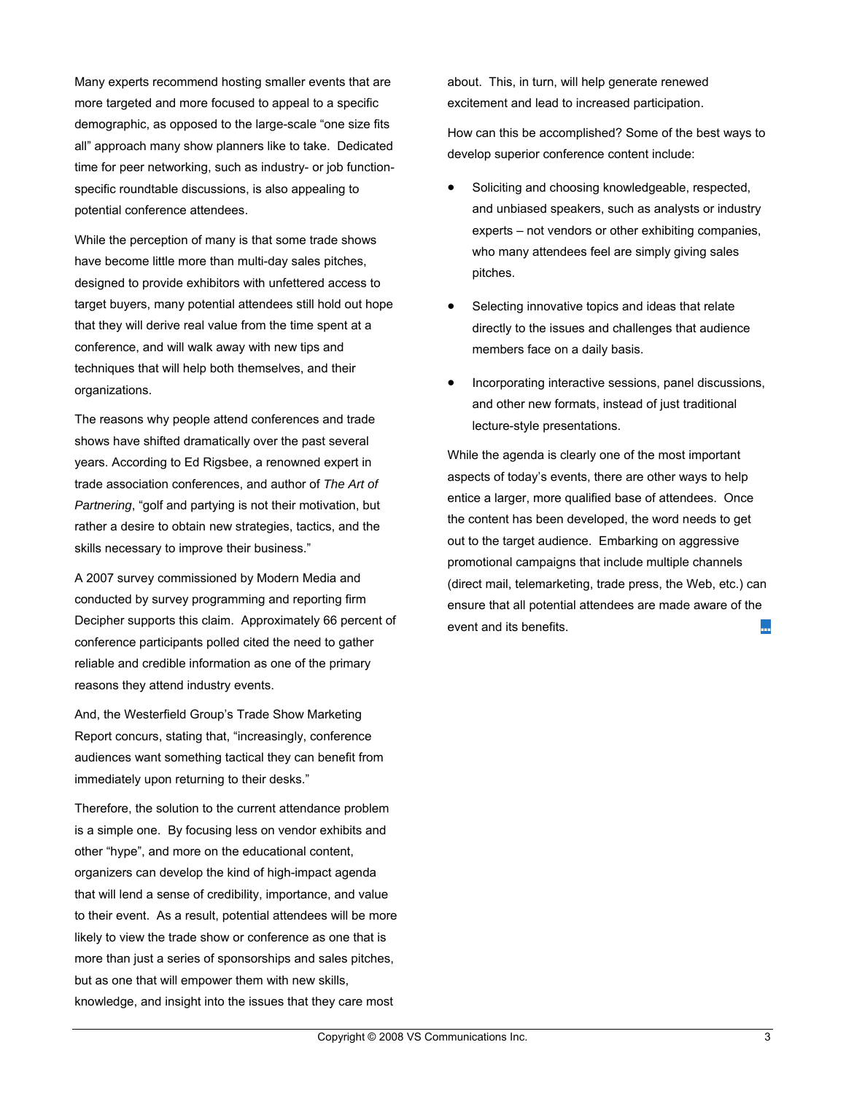Many experts recommend hosting smaller events that are more targeted and more focused to appeal to a specific demographic, as opposed to the large-scale "one size fits all" approach many show planners like to take. Dedicated time for peer networking, such as industry- or job functionspecific roundtable discussions, is also appealing to potential conference attendees.

While the perception of many is that some trade shows have become little more than multi-day sales pitches, designed to provide exhibitors with unfettered access to target buyers, many potential attendees still hold out hope that they will derive real value from the time spent at a conference, and will walk away with new tips and techniques that will help both themselves, and their organizations.

The reasons why people attend conferences and trade shows have shifted dramatically over the past several years. According to Ed Rigsbee, a renowned expert in trade association conferences, and author of *The Art of Partnering*, "golf and partying is not their motivation, but rather a desire to obtain new strategies, tactics, and the skills necessary to improve their business."

A 2007 survey commissioned by Modern Media and conducted by survey programming and reporting firm Decipher supports this claim. Approximately 66 percent of conference participants polled cited the need to gather reliable and credible information as one of the primary reasons they attend industry events.

And, the Westerfield Group's Trade Show Marketing Report concurs, stating that, "increasingly, conference audiences want something tactical they can benefit from immediately upon returning to their desks."

Therefore, the solution to the current attendance problem is a simple one. By focusing less on vendor exhibits and other "hype", and more on the educational content, organizers can develop the kind of high-impact agenda that will lend a sense of credibility, importance, and value to their event. As a result, potential attendees will be more likely to view the trade show or conference as one that is more than just a series of sponsorships and sales pitches, but as one that will empower them with new skills, knowledge, and insight into the issues that they care most

about. This, in turn, will help generate renewed excitement and lead to increased participation.

How can this be accomplished? Some of the best ways to develop superior conference content include:

- Soliciting and choosing knowledgeable, respected, and unbiased speakers, such as analysts or industry experts – not vendors or other exhibiting companies, who many attendees feel are simply giving sales pitches.
- Selecting innovative topics and ideas that relate directly to the issues and challenges that audience members face on a daily basis.
- Incorporating interactive sessions, panel discussions, and other new formats, instead of just traditional lecture-style presentations.

While the agenda is clearly one of the most important aspects of today's events, there are other ways to help entice a larger, more qualified base of attendees. Once the content has been developed, the word needs to get out to the target audience. Embarking on aggressive promotional campaigns that include multiple channels (direct mail, telemarketing, trade press, the Web, etc.) can ensure that all potential attendees are made aware of the event and its benefits. ■■■